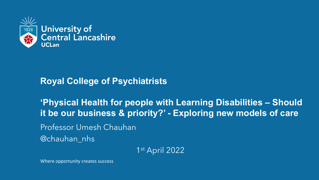

#### **Royal College of Psychiatrists**

**'Physical Health for people with Learning Disabilities – Should it be our business & priority?' - Exploring new models of care**

Professor Umesh Chauhan

@chauhan\_nhs

1st April 2022

Where opportunity creates success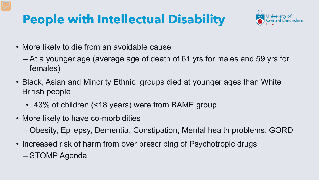## **People with Intellectual Disability**



- More likely to die from an avoidable cause
	- At a younger age (average age of death of 61 yrs for males and 59 yrs for females)
- Black, Asian and Minority Ethnic groups died at younger ages than White British people
	- 43% of children (<18 years) were from BAME group.
- More likely to have co-morbidities
	- Obesity, Epilepsy, Dementia, Constipation, Mental health problems, GORD
- Increased risk of harm from over prescribing of Psychotropic drugs
	- STOMP Agenda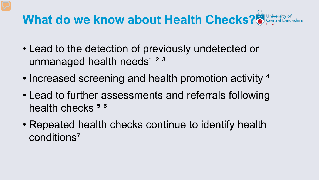# **What do we know about Health Checks?**

- Lead to the detection of previously undetected or unmanaged health needs<sup>1 2 3</sup>
- Increased screening and health promotion activity <sup>4</sup>
- Lead to further assessments and referrals following health checks  $56$
- Repeated health checks continue to identify health conditions<sup>7</sup>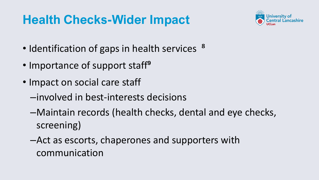### **Health Checks-Wider Impact**



- Identification of gaps in health services <sup>8</sup>
- Importance of support staff<sup>9</sup>
- Impact on social care staff
	- –involved in best-interests decisions
	- –Maintain records (health checks, dental and eye checks, screening)
	- –Act as escorts, chaperones and supporters with communication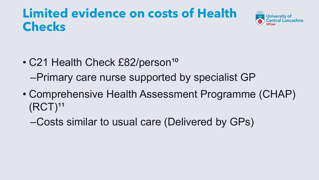#### **Limited evidence on costs of Health Checks**



- C21 Health Check £82/person<sup>10</sup> –Primary care nurse supported by specialist GP
- Comprehensive Health Assessment Programme (CHAP)  $(RCT)^{11}$ 
	- –Costs similar to usual care (Delivered by GPs)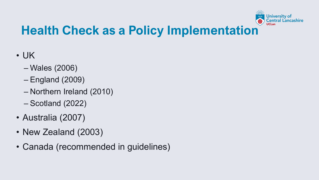

## **Health Check as a Policy Implementation**

- UK
	- Wales (2006)
	- England (2009)
	- Northern Ireland (2010)
	- Scotland (2022)
- Australia (2007)
- New Zealand (2003)
- Canada (recommended in guidelines)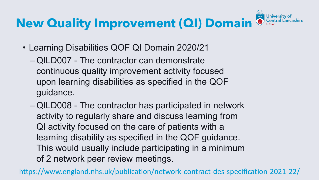#### **University New Quality Improvement (QI) Domain**

- Learning Disabilities QOF QI Domain 2020/21
	- –QILD007 The contractor can demonstrate continuous quality improvement activity focused upon learning disabilities as specified in the QOF guidance.
	- –QILD008 The contractor has participated in network activity to regularly share and discuss learning from QI activity focused on the care of patients with a learning disability as specified in the QOF guidance. This would usually include participating in a minimum of 2 network peer review meetings.

https://www.england.nhs.uk/publication/network-contract-des-specification-2021-22/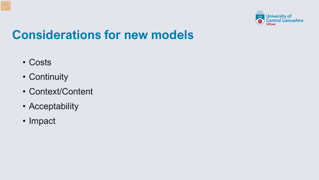

### **Considerations for new models**

- Costs
- Continuity
- Context/Content
- Acceptability
- Impact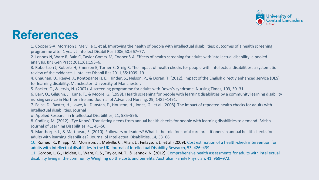

#### **References**

1. Cooper S-A, Morrison J, Melville C, et al. Improving the health of people with intellectual disabilities: outcomes of a health screening programme after 1 year. J Intellect Disabil Res 2006;50:667–77.

2. Lennox N, Ware R, Bain C, Taylor Gomez M, Cooper S-A. Effects of health screening for adults with intellectual disability: a pooled analysis. Br J Gen Pract 2011;61:193–6.

3. Robertson J, Roberts H, Emerson E, Turner S, Greig R. The impact of health checks for people with intellectual disabilities: a systematic review of the evidence. J Intellect Disabil Res 2011;55:1009–19

4. Chauhan, U., Reeve, J., Kontopantelis, E., Hinder, S., Nelson, P., & Doran, T. (2012). Impact of the English directly enhanced service (DES) for learning disability. Manchester: University of Manchester.

5. Backer, C., & Jervis, N. (2007). A screening programme for adults with Down's syndrome. Nursing Times, 103, 30–31.

6. Barr, O., Gilgunn, J., Kane, T., & Moore, G. (1999). Health screening for people with learning disabilities by a community learning disability nursing service in Northern Ireland. Journal of Advanced Nursing, 29, 1482–1491.

7. Felce, D., Baxter, H., Lowe, K., Dunstan, F., Houston, H., Jones, G., et al. (2008). The impact of repeated health checks for adults with intellectual disabilities. Journal

of Applied Research in Intellectual Disabilities, 21, 585–596.

8. Codling, M. (2012). 'Eye Know': Translating needs from annual health checks for people with learning disabilities to demand. British Journal of Learning Disabilities, 41, 45–50.

9. Manthorpe, J., & Martineau, S. (2010). Followers or leaders? What is the role for social care practitioners in annual health checks for adults with learning disabilities?. Journal of Intellectual Disabilities, 14, 53–66.

10. Romeo, R., Knapp, M., Morrison, J., Melville, C., Allan, L., Finlayson, J., et al. (2009). Cost estimation of a health-check intervention for adults with intellectual disabilities in the UK. Journal of Intellectual Disability Research, 53, 426–439.

11. Gordon, L. G., Holden, L., Ware, R. S., Taylor, M. T., & Lennox, N. (2012). Comprehensive health assessments for adults with intellectual disability living in the community Weighing up the costs and benefits. Australian Family Physician, 41, 969–972.